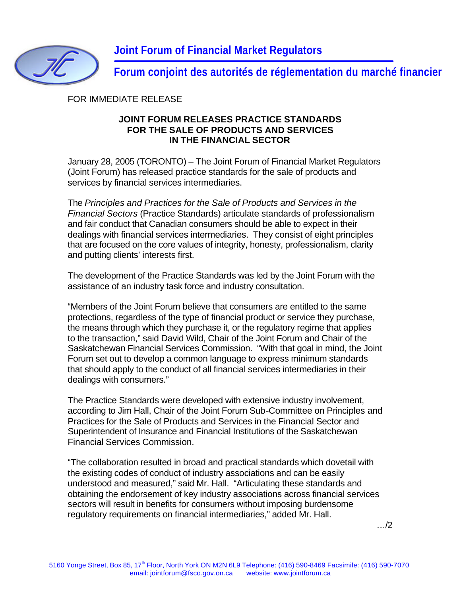

**Forum conjoint des autorités de réglementation du marché financier**

FOR IMMEDIATE RELEASE

## **JOINT FORUM RELEASES PRACTICE STANDARDS FOR THE SALE OF PRODUCTS AND SERVICES IN THE FINANCIAL SECTOR**

January 28, 2005 (TORONTO) – The Joint Forum of Financial Market Regulators (Joint Forum) has released practice standards for the sale of products and services by financial services intermediaries.

The *Principles and Practices for the Sale of Products and Services in the Financial Sectors* (Practice Standards) articulate standards of professionalism and fair conduct that Canadian consumers should be able to expect in their dealings with financial services intermediaries. They consist of eight principles that are focused on the core values of integrity, honesty, professionalism, clarity and putting clients' interests first.

The development of the Practice Standards was led by the Joint Forum with the assistance of an industry task force and industry consultation.

"Members of the Joint Forum believe that consumers are entitled to the same protections, regardless of the type of financial product or service they purchase, the means through which they purchase it, or the regulatory regime that applies to the transaction," said David Wild, Chair of the Joint Forum and Chair of the Saskatchewan Financial Services Commission. "With that goal in mind, the Joint Forum set out to develop a common language to express minimum standards that should apply to the conduct of all financial services intermediaries in their dealings with consumers."

The Practice Standards were developed with extensive industry involvement, according to Jim Hall, Chair of the Joint Forum Sub-Committee on Principles and Practices for the Sale of Products and Services in the Financial Sector and Superintendent of Insurance and Financial Institutions of the Saskatchewan Financial Services Commission.

"The collaboration resulted in broad and practical standards which dovetail with the existing codes of conduct of industry associations and can be easily understood and measured," said Mr. Hall. "Articulating these standards and obtaining the endorsement of key industry associations across financial services sectors will result in benefits for consumers without imposing burdensome regulatory requirements on financial intermediaries," added Mr. Hall.

…/2